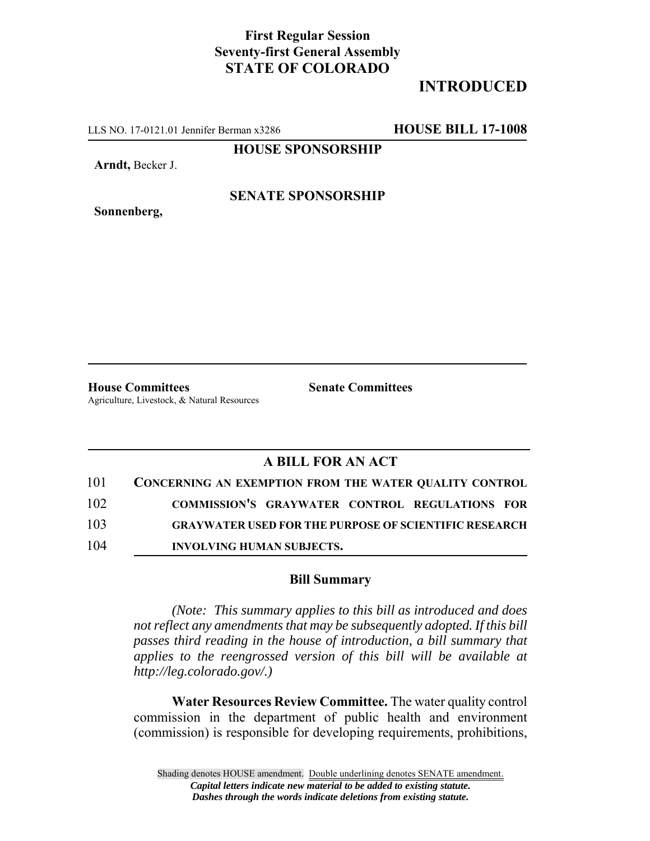## **First Regular Session Seventy-first General Assembly STATE OF COLORADO**

# **INTRODUCED**

LLS NO. 17-0121.01 Jennifer Berman x3286 **HOUSE BILL 17-1008**

**HOUSE SPONSORSHIP**

**Arndt,** Becker J.

**Sonnenberg,**

### **SENATE SPONSORSHIP**

**House Committees Senate Committees** Agriculture, Livestock, & Natural Resources

## **A BILL FOR AN ACT**

| 101 | <b>CONCERNING AN EXEMPTION FROM THE WATER QUALITY CONTROL</b> |
|-----|---------------------------------------------------------------|
| 102 | COMMISSION'S GRAYWATER CONTROL REGULATIONS FOR                |
| 103 | <b>GRAYWATER USED FOR THE PURPOSE OF SCIENTIFIC RESEARCH</b>  |
| 104 | <b>INVOLVING HUMAN SUBJECTS.</b>                              |

#### **Bill Summary**

*(Note: This summary applies to this bill as introduced and does not reflect any amendments that may be subsequently adopted. If this bill passes third reading in the house of introduction, a bill summary that applies to the reengrossed version of this bill will be available at http://leg.colorado.gov/.)*

**Water Resources Review Committee.** The water quality control commission in the department of public health and environment (commission) is responsible for developing requirements, prohibitions,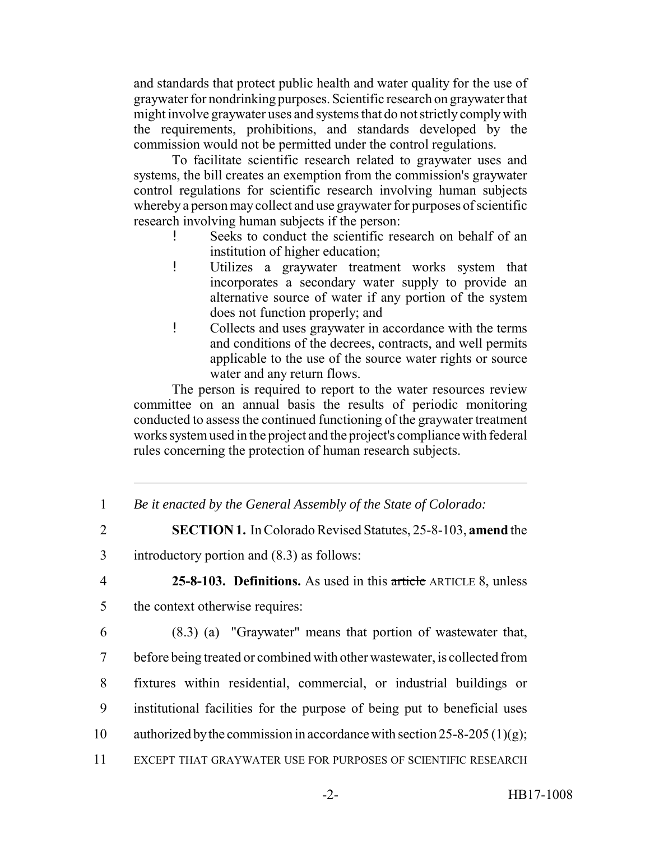and standards that protect public health and water quality for the use of graywater for nondrinking purposes. Scientific research on graywater that might involve graywater uses and systems that do not strictly comply with the requirements, prohibitions, and standards developed by the commission would not be permitted under the control regulations.

To facilitate scientific research related to graywater uses and systems, the bill creates an exemption from the commission's graywater control regulations for scientific research involving human subjects whereby a person may collect and use graywater for purposes of scientific research involving human subjects if the person:

- Seeks to conduct the scientific research on behalf of an institution of higher education;
- ! Utilizes a graywater treatment works system that incorporates a secondary water supply to provide an alternative source of water if any portion of the system does not function properly; and
- ! Collects and uses graywater in accordance with the terms and conditions of the decrees, contracts, and well permits applicable to the use of the source water rights or source water and any return flows.

The person is required to report to the water resources review committee on an annual basis the results of periodic monitoring conducted to assess the continued functioning of the graywater treatment works system used in the project and the project's compliance with federal rules concerning the protection of human research subjects.

- 1 *Be it enacted by the General Assembly of the State of Colorado:*
- 2 **SECTION 1.** In Colorado Revised Statutes, 25-8-103, **amend** the
- 3 introductory portion and (8.3) as follows:
- 

4 **25-8-103. Definitions.** As used in this article ARTICLE 8, unless

- 5 the context otherwise requires:
- 6 (8.3) (a) "Graywater" means that portion of wastewater that, 7 before being treated or combined with other wastewater, is collected from 8 fixtures within residential, commercial, or industrial buildings or 9 institutional facilities for the purpose of being put to beneficial uses 10 authorized by the commission in accordance with section 25-8-205 (1)(g); 11 EXCEPT THAT GRAYWATER USE FOR PURPOSES OF SCIENTIFIC RESEARCH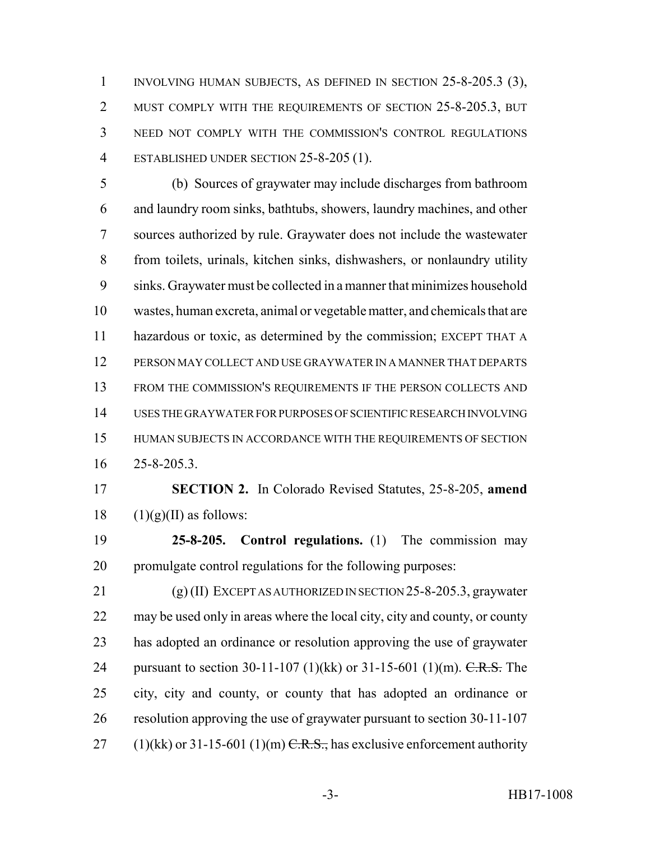INVOLVING HUMAN SUBJECTS, AS DEFINED IN SECTION 25-8-205.3 (3), 2 MUST COMPLY WITH THE REQUIREMENTS OF SECTION 25-8-205.3, BUT NEED NOT COMPLY WITH THE COMMISSION'S CONTROL REGULATIONS ESTABLISHED UNDER SECTION 25-8-205 (1).

 (b) Sources of graywater may include discharges from bathroom and laundry room sinks, bathtubs, showers, laundry machines, and other sources authorized by rule. Graywater does not include the wastewater from toilets, urinals, kitchen sinks, dishwashers, or nonlaundry utility sinks. Graywater must be collected in a manner that minimizes household wastes, human excreta, animal or vegetable matter, and chemicals that are hazardous or toxic, as determined by the commission; EXCEPT THAT A PERSON MAY COLLECT AND USE GRAYWATER IN A MANNER THAT DEPARTS FROM THE COMMISSION'S REQUIREMENTS IF THE PERSON COLLECTS AND USES THE GRAYWATER FOR PURPOSES OF SCIENTIFIC RESEARCH INVOLVING HUMAN SUBJECTS IN ACCORDANCE WITH THE REQUIREMENTS OF SECTION 25-8-205.3.

 **SECTION 2.** In Colorado Revised Statutes, 25-8-205, **amend** 18  $(1)(g)(II)$  as follows:

 **25-8-205. Control regulations.** (1) The commission may promulgate control regulations for the following purposes:

 (g) (II) EXCEPT AS AUTHORIZED IN SECTION 25-8-205.3, graywater may be used only in areas where the local city, city and county, or county has adopted an ordinance or resolution approving the use of graywater 24 pursuant to section 30-11-107 (1)(kk) or 31-15-601 (1)(m). C.R.S. The city, city and county, or county that has adopted an ordinance or resolution approving the use of graywater pursuant to section 30-11-107 27 (1)(kk) or 31-15-601 (1)(m)  $C.R.S.,$  has exclusive enforcement authority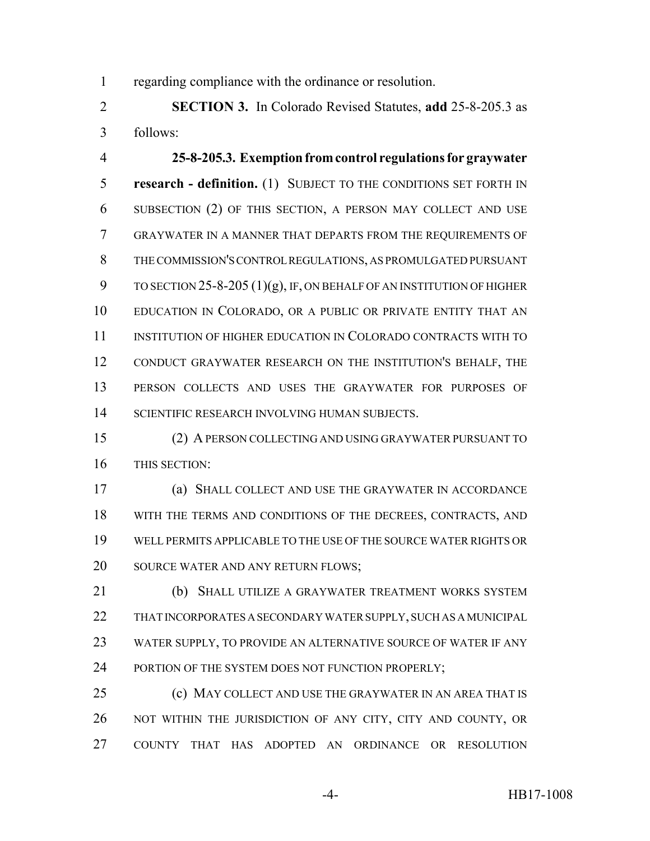regarding compliance with the ordinance or resolution.

 **SECTION 3.** In Colorado Revised Statutes, **add** 25-8-205.3 as follows:

 **25-8-205.3. Exemption from control regulations for graywater research - definition.** (1) SUBJECT TO THE CONDITIONS SET FORTH IN SUBSECTION (2) OF THIS SECTION, A PERSON MAY COLLECT AND USE GRAYWATER IN A MANNER THAT DEPARTS FROM THE REQUIREMENTS OF THE COMMISSION'S CONTROL REGULATIONS, AS PROMULGATED PURSUANT 9 TO SECTION -8-205  $(1)(g)$ , IF, ON BEHALF OF AN INSTITUTION OF HIGHER EDUCATION IN COLORADO, OR A PUBLIC OR PRIVATE ENTITY THAT AN INSTITUTION OF HIGHER EDUCATION IN COLORADO CONTRACTS WITH TO CONDUCT GRAYWATER RESEARCH ON THE INSTITUTION'S BEHALF, THE PERSON COLLECTS AND USES THE GRAYWATER FOR PURPOSES OF SCIENTIFIC RESEARCH INVOLVING HUMAN SUBJECTS.

 (2) A PERSON COLLECTING AND USING GRAYWATER PURSUANT TO THIS SECTION:

 (a) SHALL COLLECT AND USE THE GRAYWATER IN ACCORDANCE WITH THE TERMS AND CONDITIONS OF THE DECREES, CONTRACTS, AND WELL PERMITS APPLICABLE TO THE USE OF THE SOURCE WATER RIGHTS OR SOURCE WATER AND ANY RETURN FLOWS;

21 (b) SHALL UTILIZE A GRAYWATER TREATMENT WORKS SYSTEM THAT INCORPORATES A SECONDARY WATER SUPPLY, SUCH AS A MUNICIPAL WATER SUPPLY, TO PROVIDE AN ALTERNATIVE SOURCE OF WATER IF ANY 24 PORTION OF THE SYSTEM DOES NOT FUNCTION PROPERLY;

 (c) MAY COLLECT AND USE THE GRAYWATER IN AN AREA THAT IS 26 NOT WITHIN THE JURISDICTION OF ANY CITY, CITY AND COUNTY, OR COUNTY THAT HAS ADOPTED AN ORDINANCE OR RESOLUTION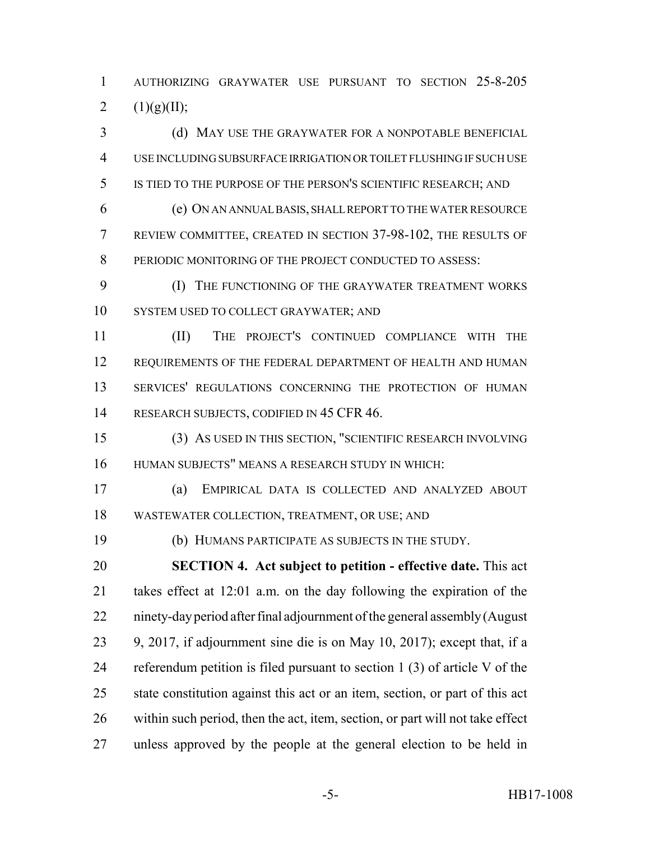AUTHORIZING GRAYWATER USE PURSUANT TO SECTION 25-8-205 2  $(1)(g)(II);$ 

3 (d) MAY USE THE GRAYWATER FOR A NONPOTABLE BENEFICIAL USE INCLUDING SUBSURFACE IRRIGATION OR TOILET FLUSHING IF SUCH USE IS TIED TO THE PURPOSE OF THE PERSON'S SCIENTIFIC RESEARCH; AND

 (e) ON AN ANNUAL BASIS, SHALL REPORT TO THE WATER RESOURCE REVIEW COMMITTEE, CREATED IN SECTION 37-98-102, THE RESULTS OF PERIODIC MONITORING OF THE PROJECT CONDUCTED TO ASSESS:

 (I) THE FUNCTIONING OF THE GRAYWATER TREATMENT WORKS SYSTEM USED TO COLLECT GRAYWATER; AND

 (II) THE PROJECT'S CONTINUED COMPLIANCE WITH THE 12 REQUIREMENTS OF THE FEDERAL DEPARTMENT OF HEALTH AND HUMAN SERVICES' REGULATIONS CONCERNING THE PROTECTION OF HUMAN 14 RESEARCH SUBJECTS, CODIFIED IN 45 CFR 46.

 (3) AS USED IN THIS SECTION, "SCIENTIFIC RESEARCH INVOLVING HUMAN SUBJECTS" MEANS A RESEARCH STUDY IN WHICH:

 (a) EMPIRICAL DATA IS COLLECTED AND ANALYZED ABOUT WASTEWATER COLLECTION, TREATMENT, OR USE; AND

(b) HUMANS PARTICIPATE AS SUBJECTS IN THE STUDY.

 **SECTION 4. Act subject to petition - effective date.** This act takes effect at 12:01 a.m. on the day following the expiration of the ninety-day period after final adjournment of the general assembly (August 9, 2017, if adjournment sine die is on May 10, 2017); except that, if a referendum petition is filed pursuant to section 1 (3) of article V of the state constitution against this act or an item, section, or part of this act within such period, then the act, item, section, or part will not take effect unless approved by the people at the general election to be held in